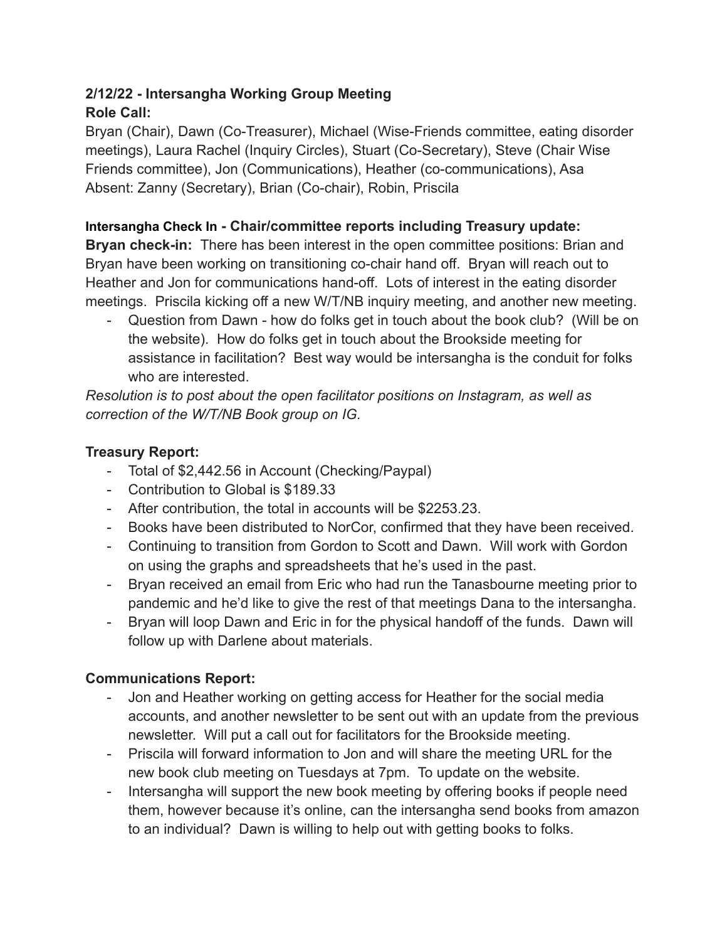## **2/12/22 - Intersangha Working Group Meeting Role Call:**

Bryan (Chair), Dawn (Co-Treasurer), Michael (Wise-Friends committee, eating disorder meetings), Laura Rachel (Inquiry Circles), Stuart (Co-Secretary), Steve (Chair Wise Friends committee), Jon (Communications), Heather (co-communications), Asa Absent: Zanny (Secretary), Brian (Co-chair), Robin, Priscila

# **Intersangha Check In - Chair/committee reports including Treasury update:**

**Bryan check-in:** There has been interest in the open committee positions: Brian and Bryan have been working on transitioning co-chair hand off. Bryan will reach out to Heather and Jon for communications hand-off. Lots of interest in the eating disorder meetings. Priscila kicking off a new W/T/NB inquiry meeting, and another new meeting.

- Question from Dawn - how do folks get in touch about the book club? (Will be on the website). How do folks get in touch about the Brookside meeting for assistance in facilitation? Best way would be intersangha is the conduit for folks who are interested.

*Resolution is to post about the open facilitator positions on Instagram, as well as correction of the W/T/NB Book group on IG.*

## **Treasury Report:**

- Total of \$2,442.56 in Account (Checking/Paypal)
- Contribution to Global is \$189.33
- After contribution, the total in accounts will be \$2253.23.
- Books have been distributed to NorCor, confirmed that they have been received.
- Continuing to transition from Gordon to Scott and Dawn. Will work with Gordon on using the graphs and spreadsheets that he's used in the past.
- Bryan received an email from Eric who had run the Tanasbourne meeting prior to pandemic and he'd like to give the rest of that meetings Dana to the intersangha.
- Bryan will loop Dawn and Eric in for the physical handoff of the funds. Dawn will follow up with Darlene about materials.

# **Communications Report:**

- Jon and Heather working on getting access for Heather for the social media accounts, and another newsletter to be sent out with an update from the previous newsletter. Will put a call out for facilitators for the Brookside meeting.
- Priscila will forward information to Jon and will share the meeting URL for the new book club meeting on Tuesdays at 7pm. To update on the website.
- Intersangha will support the new book meeting by offering books if people need them, however because it's online, can the intersangha send books from amazon to an individual? Dawn is willing to help out with getting books to folks.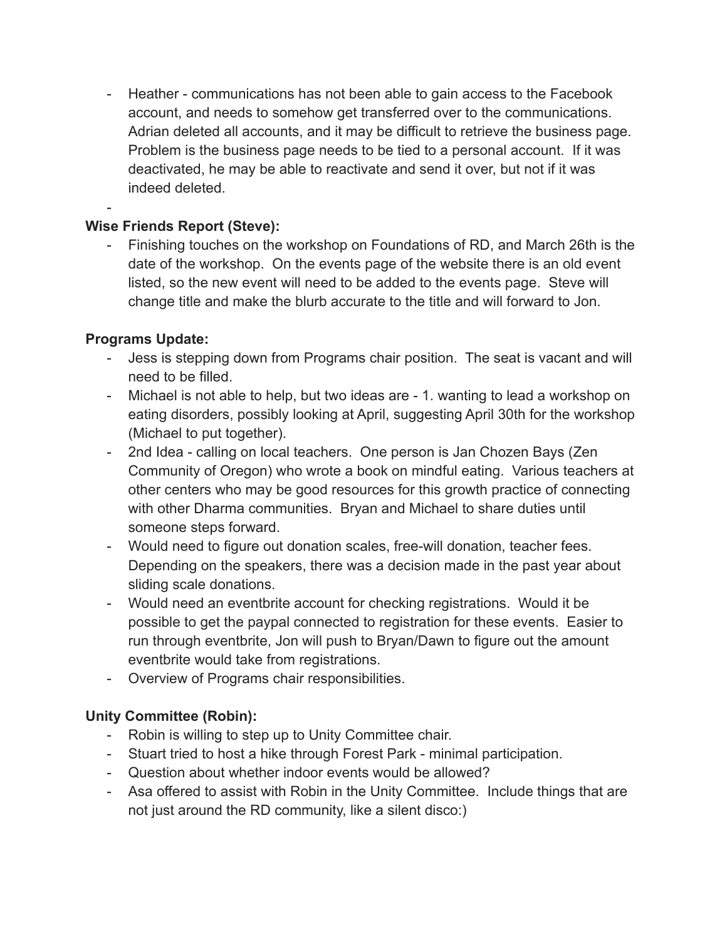- Heather - communications has not been able to gain access to the Facebook account, and needs to somehow get transferred over to the communications. Adrian deleted all accounts, and it may be difficult to retrieve the business page. Problem is the business page needs to be tied to a personal account. If it was deactivated, he may be able to reactivate and send it over, but not if it was indeed deleted.

# **Wise Friends Report (Steve):**

- Finishing touches on the workshop on Foundations of RD, and March 26th is the date of the workshop. On the events page of the website there is an old event listed, so the new event will need to be added to the events page. Steve will change title and make the blurb accurate to the title and will forward to Jon.

## **Programs Update:**

-

- Jess is stepping down from Programs chair position. The seat is vacant and will need to be filled.
- Michael is not able to help, but two ideas are 1. wanting to lead a workshop on eating disorders, possibly looking at April, suggesting April 30th for the workshop (Michael to put together).
- 2nd Idea calling on local teachers. One person is Jan Chozen Bays (Zen Community of Oregon) who wrote a book on mindful eating. Various teachers at other centers who may be good resources for this growth practice of connecting with other Dharma communities. Bryan and Michael to share duties until someone steps forward.
- Would need to figure out donation scales, free-will donation, teacher fees. Depending on the speakers, there was a decision made in the past year about sliding scale donations.
- Would need an eventbrite account for checking registrations. Would it be possible to get the paypal connected to registration for these events. Easier to run through eventbrite, Jon will push to Bryan/Dawn to figure out the amount eventbrite would take from registrations.
- Overview of Programs chair responsibilities.

# **Unity Committee (Robin):**

- Robin is willing to step up to Unity Committee chair.
- Stuart tried to host a hike through Forest Park minimal participation.
- Question about whether indoor events would be allowed?
- Asa offered to assist with Robin in the Unity Committee. Include things that are not just around the RD community, like a silent disco:)